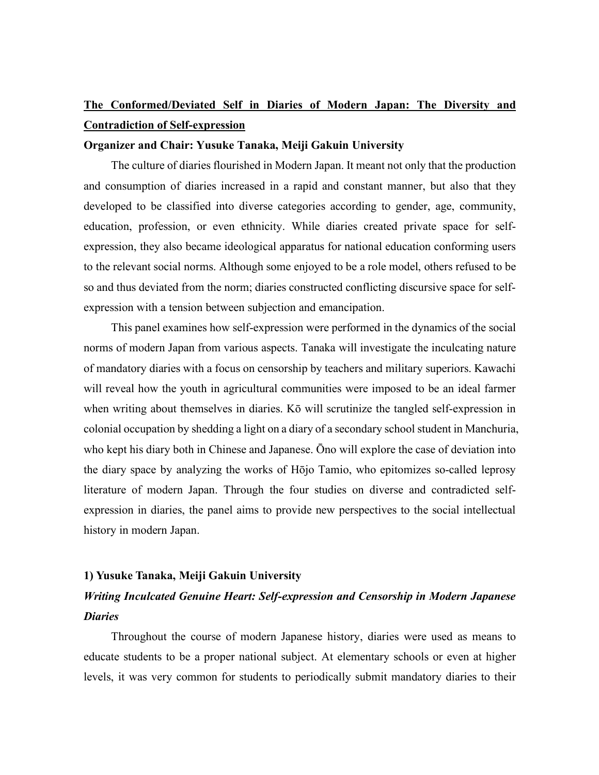# **The Conformed/Deviated Self in Diaries of Modern Japan: The Diversity and Contradiction of Self-expression**

### **Organizer and Chair: Yusuke Tanaka, Meiji Gakuin University**

The culture of diaries flourished in Modern Japan. It meant not only that the production and consumption of diaries increased in a rapid and constant manner, but also that they developed to be classified into diverse categories according to gender, age, community, education, profession, or even ethnicity. While diaries created private space for selfexpression, they also became ideological apparatus for national education conforming users to the relevant social norms. Although some enjoyed to be a role model, others refused to be so and thus deviated from the norm; diaries constructed conflicting discursive space for selfexpression with a tension between subjection and emancipation.

This panel examines how self-expression were performed in the dynamics of the social norms of modern Japan from various aspects. Tanaka will investigate the inculcating nature of mandatory diaries with a focus on censorship by teachers and military superiors. Kawachi will reveal how the youth in agricultural communities were imposed to be an ideal farmer when writing about themselves in diaries. Kō will scrutinize the tangled self-expression in colonial occupation by shedding a light on a diary of a secondary school student in Manchuria, who kept his diary both in Chinese and Japanese. Ōno will explore the case of deviation into the diary space by analyzing the works of Hōjo Tamio, who epitomizes so-called leprosy literature of modern Japan. Through the four studies on diverse and contradicted selfexpression in diaries, the panel aims to provide new perspectives to the social intellectual history in modern Japan.

### **1) Yusuke Tanaka, Meiji Gakuin University**

## *Writing Inculcated Genuine Heart: Self-expression and Censorship in Modern Japanese Diaries*

Throughout the course of modern Japanese history, diaries were used as means to educate students to be a proper national subject. At elementary schools or even at higher levels, it was very common for students to periodically submit mandatory diaries to their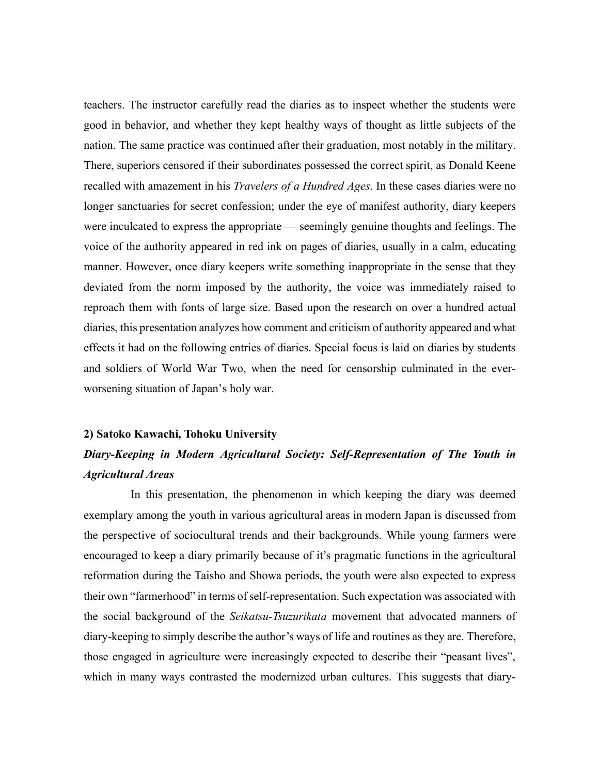teachers. The instructor carefully read the diaries as to inspect whether the students were good in behavior, and whether they kept healthy ways of thought as little subjects of the nation. The same practice was continued after their graduation, most notably in the military. There, superiors censored if their subordinates possessed the correct spirit, as Donald Keene recalled with amazement in his *Travelers of a Hundred Ages*. In these cases diaries were no longer sanctuaries for secret confession; under the eye of manifest authority, diary keepers were inculcated to express the appropriate — seemingly genuine thoughts and feelings. The voice of the authority appeared in red ink on pages of diaries, usually in a calm, educating manner. However, once diary keepers write something inappropriate in the sense that they deviated from the norm imposed by the authority, the voice was immediately raised to reproach them with fonts of large size. Based upon the research on over a hundred actual diaries, this presentation analyzes how comment and criticism of authority appeared and what effects it had on the following entries of diaries. Special focus is laid on diaries by students and soldiers of World War Two, when the need for censorship culminated in the everworsening situation of Japan's holy war.

#### **2) Satoko Kawachi, Tohoku University**

# *Diary-Keeping in Modern Agricultural Society: Self-Representation of The Youth in Agricultural Areas*

In this presentation, the phenomenon in which keeping the diary was deemed exemplary among the youth in various agricultural areas in modern Japan is discussed from the perspective of sociocultural trends and their backgrounds. While young farmers were encouraged to keep a diary primarily because of it's pragmatic functions in the agricultural reformation during the Taisho and Showa periods, the youth were also expected to express their own "farmerhood" in terms of self-representation. Such expectation was associated with the social background of the *Seikatsu-Tsuzurikata* movement that advocated manners of diary-keeping to simply describe the author's ways of life and routines as they are. Therefore, those engaged in agriculture were increasingly expected to describe their "peasant lives", which in many ways contrasted the modernized urban cultures. This suggests that diary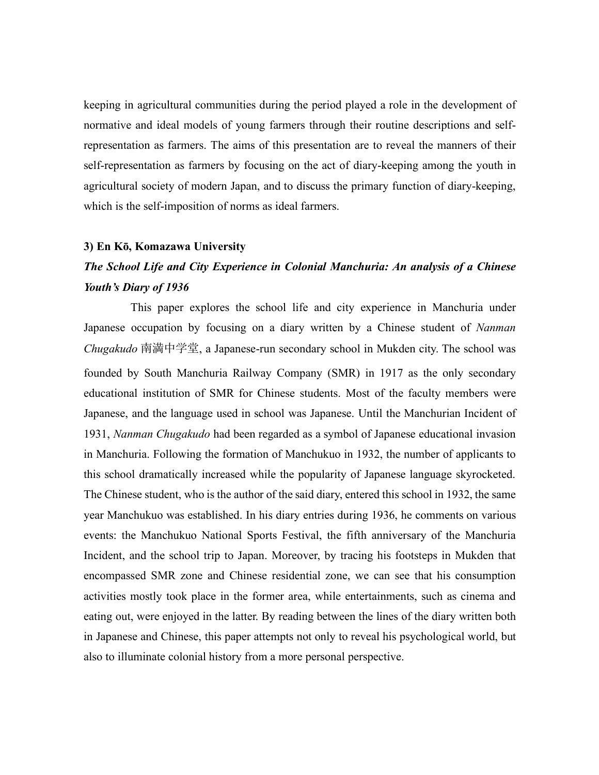keeping in agricultural communities during the period played a role in the development of normative and ideal models of young farmers through their routine descriptions and selfrepresentation as farmers. The aims of this presentation are to reveal the manners of their self-representation as farmers by focusing on the act of diary-keeping among the youth in agricultural society of modern Japan, and to discuss the primary function of diary-keeping, which is the self-imposition of norms as ideal farmers.

#### **3) En Kō, Komazawa University**

# *The School Life and City Experience in Colonial Manchuria: An analysis of a Chinese Youth's Diary of 1936*

This paper explores the school life and city experience in Manchuria under Japanese occupation by focusing on a diary written by a Chinese student of *Nanman Chugakudo* 南満中学堂, a Japanese-run secondary school in Mukden city. The school was founded by South Manchuria Railway Company (SMR) in 1917 as the only secondary educational institution of SMR for Chinese students. Most of the faculty members were Japanese, and the language used in school was Japanese. Until the Manchurian Incident of 1931, *Nanman Chugakudo* had been regarded as a symbol of Japanese educational invasion in Manchuria. Following the formation of Manchukuo in 1932, the number of applicants to this school dramatically increased while the popularity of Japanese language skyrocketed. The Chinese student, who is the author of the said diary, entered this school in 1932, the same year Manchukuo was established. In his diary entries during 1936, he comments on various events: the Manchukuo National Sports Festival, the fifth anniversary of the Manchuria Incident, and the school trip to Japan. Moreover, by tracing his footsteps in Mukden that encompassed SMR zone and Chinese residential zone, we can see that his consumption activities mostly took place in the former area, while entertainments, such as cinema and eating out, were enjoyed in the latter. By reading between the lines of the diary written both in Japanese and Chinese, this paper attempts not only to reveal his psychological world, but also to illuminate colonial history from a more personal perspective.